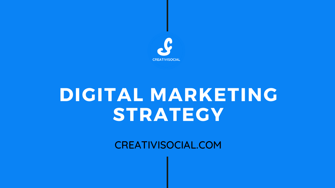

# **DIGITAL MARKETING STRATEGY**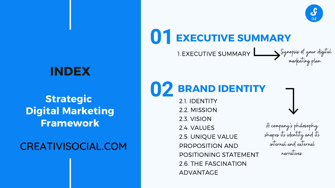#### **INDEX**



### **01 EXECUTIVE SUMMARY** 1. EXECUTIVE SUMMARY  $\Box$  Synopsis of your digital marketing plan.

#### **02 BRAND IDENTITY**



- 2.1. IDENTITY
- 2.2. MISSION
- 2.3. VISION
- 2.4. VALUES
- 2.5. UNIQUE VALUE
- PROPOSITION AND
- POSITIONING STATEMENT
- 2.6. THE FASCINATION
- ADVANTAGE

A company 's philosophy shapes its identity and its internal and external narratives.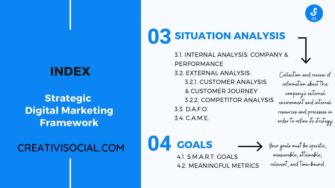### **INDEX**



## **03 SITUATION ANALYSIS**

- 
- 3.1. INTERNAL ANALYSIS: COMPANY & PERFORMANCE
- 3.2. EXTERNAL ANALYSIS: 3.2.1. CUSTOMER ANALYSIS
	-
	- & CUSTOMER JOURNEY 3.2.2. COMPETITOR ANALYSIS
	-
- 3.3. D.A.F.O.
- 3.4. C.A.M.E.

Collection and review of information about the company 's external environment and internal resources and processes in order to refine its strategy

## **04 GOALS**

4.1. S.M.A.R.T. GOALS



Your goals must be specific, measurable, attainable, relevant, and time-bound.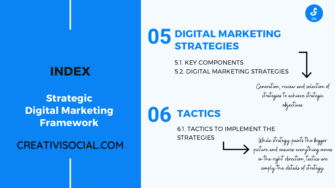**INDEX**



### **05 DIGITAL MARKETING STRATEGIES**

5.1. KEY COMPONENTS

- 6.1. TACTICS TO IMPLEMENT THE
- STRATEGIES While strategy paints the bigger picture and ensures everything moves in the right direction, tactics are simply the details of strategy.

## 5.2. DIGITAL MARKETING STRATEGIES

Generation, review and selection of strategies to achieve strategic objectives.

**06 TACTICS**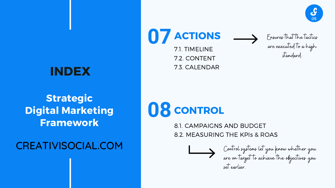### **INDEX**



**07 ACTIONS** 7.1. TIMELINE 7.2. CONTENT

7.3. CALENDAR



## **08 CONTROL**

#### 8.1. CAMPAIGNS AND BUDGET 8.2. MEASURING THE KPIs & ROAS

Control systems let you know whether you are on target to achieve the objectives you set earlier.